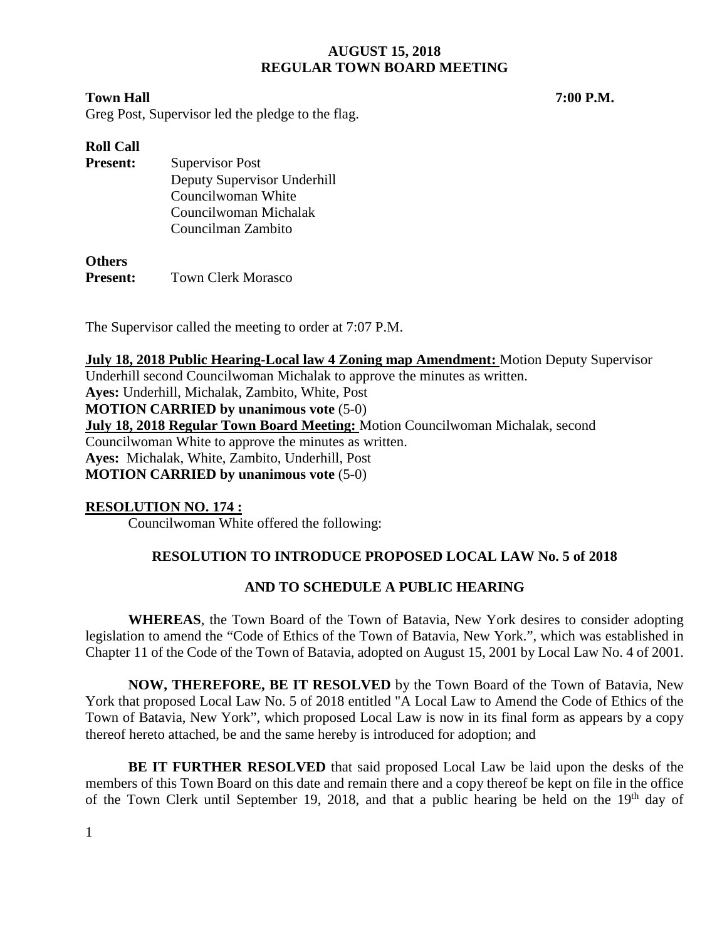## **Town Hall 7:00 P.M.**

Greg Post, Supervisor led the pledge to the flag.

# **Roll Call Present:** Supervisor Post Deputy Supervisor Underhill Councilwoman White Councilwoman Michalak Councilman Zambito

## **Others**

**Present:** Town Clerk Morasco

The Supervisor called the meeting to order at 7:07 P.M.

**July 18, 2018 Public Hearing-Local law 4 Zoning map Amendment:** Motion Deputy Supervisor Underhill second Councilwoman Michalak to approve the minutes as written.

**Ayes:** Underhill, Michalak, Zambito, White, Post **MOTION CARRIED by unanimous vote** (5-0) **July 18, 2018 Regular Town Board Meeting:** Motion Councilwoman Michalak, second Councilwoman White to approve the minutes as written. **Ayes:** Michalak, White, Zambito, Underhill, Post **MOTION CARRIED by unanimous vote** (5-0)

# **RESOLUTION NO. 174 :**

Councilwoman White offered the following:

# **RESOLUTION TO INTRODUCE PROPOSED LOCAL LAW No. 5 of 2018**

# **AND TO SCHEDULE A PUBLIC HEARING**

**WHEREAS**, the Town Board of the Town of Batavia, New York desires to consider adopting legislation to amend the "Code of Ethics of the Town of Batavia, New York.", which was established in Chapter 11 of the Code of the Town of Batavia, adopted on August 15, 2001 by Local Law No. 4 of 2001.

**NOW, THEREFORE, BE IT RESOLVED** by the Town Board of the Town of Batavia, New York that proposed Local Law No. 5 of 2018 entitled "A Local Law to Amend the Code of Ethics of the Town of Batavia, New York", which proposed Local Law is now in its final form as appears by a copy thereof hereto attached, be and the same hereby is introduced for adoption; and

**BE IT FURTHER RESOLVED** that said proposed Local Law be laid upon the desks of the members of this Town Board on this date and remain there and a copy thereof be kept on file in the office of the Town Clerk until September 19, 2018, and that a public hearing be held on the 19<sup>th</sup> day of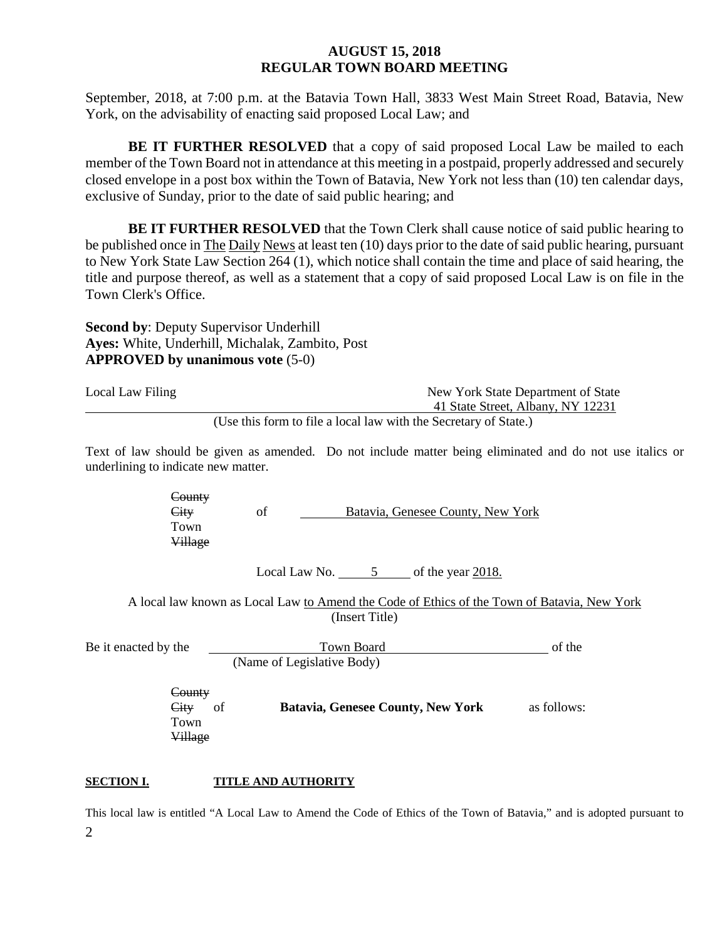September, 2018, at 7:00 p.m. at the Batavia Town Hall, 3833 West Main Street Road, Batavia, New York, on the advisability of enacting said proposed Local Law; and

**BE IT FURTHER RESOLVED** that a copy of said proposed Local Law be mailed to each member of the Town Board not in attendance at this meeting in a postpaid, properly addressed and securely closed envelope in a post box within the Town of Batavia, New York not less than (10) ten calendar days, exclusive of Sunday, prior to the date of said public hearing; and

**BE IT FURTHER RESOLVED** that the Town Clerk shall cause notice of said public hearing to be published once in The Daily News at least ten (10) days prior to the date of said public hearing, pursuant to New York State Law Section 264 (1), which notice shall contain the time and place of said hearing, the title and purpose thereof, as well as a statement that a copy of said proposed Local Law is on file in the Town Clerk's Office.

**Second by**: Deputy Supervisor Underhill **Ayes:** White, Underhill, Michalak, Zambito, Post **APPROVED by unanimous vote** (5-0)

| Local Law Filing | New York State Department of State                               |
|------------------|------------------------------------------------------------------|
|                  | 41 State Street, Albany, NY 12231                                |
|                  | (Use this form to file a local law with the Secretary of State.) |

Text of law should be given as amended. Do not include matter being eliminated and do not use italics or underlining to indicate new matter.

**County** City of Batavia, Genesee County, New York Town Village Local Law No.  $5$  of the year 2018. A local law known as Local Law to Amend the Code of Ethics of the Town of Batavia, New York (Insert Title) Be it enacted by the Town Board Communication of the Town Board Communication of the Town Board Communication of the Town Board Communication of the Town Board Communication of the Communication of the Communication of the (Name of Legislative Body) **County** City of **Batavia, Genesee County, New York** as follows: Town Village

### **SECTION I. TITLE AND AUTHORITY**

2 This local law is entitled "A Local Law to Amend the Code of Ethics of the Town of Batavia," and is adopted pursuant to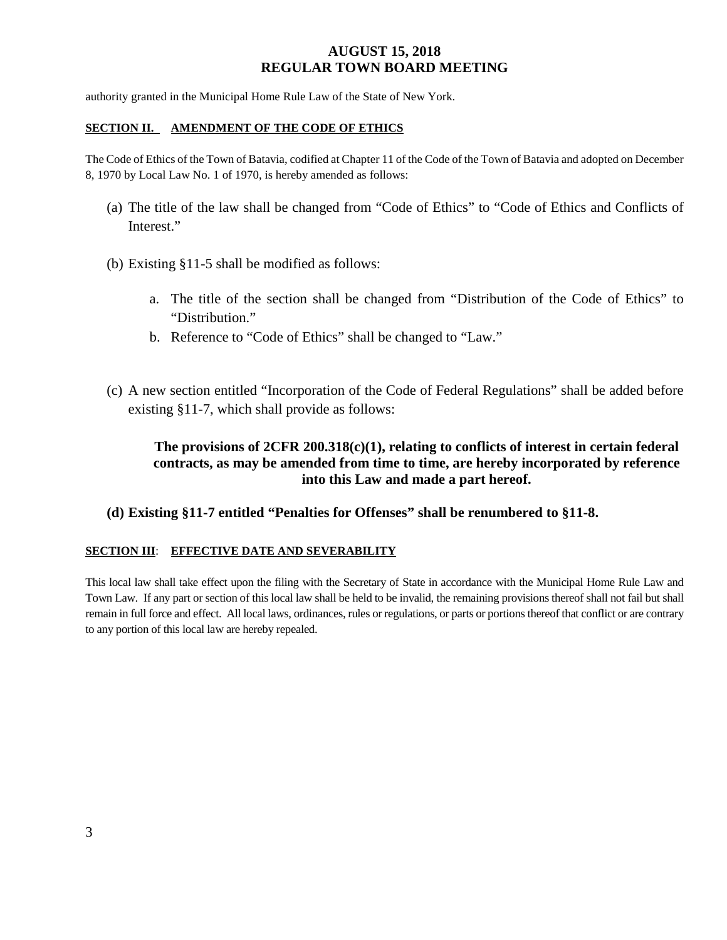authority granted in the Municipal Home Rule Law of the State of New York.

#### **SECTION II. AMENDMENT OF THE CODE OF ETHICS**

The Code of Ethics of the Town of Batavia, codified at Chapter 11 of the Code of the Town of Batavia and adopted on December 8, 1970 by Local Law No. 1 of 1970, is hereby amended as follows:

- (a) The title of the law shall be changed from "Code of Ethics" to "Code of Ethics and Conflicts of Interest."
- (b) Existing §11-5 shall be modified as follows:
	- a. The title of the section shall be changed from "Distribution of the Code of Ethics" to "Distribution."
	- b. Reference to "Code of Ethics" shall be changed to "Law."
- (c) A new section entitled "Incorporation of the Code of Federal Regulations" shall be added before existing §11-7, which shall provide as follows:

# **The provisions of 2CFR 200.318(c)(1), relating to conflicts of interest in certain federal contracts, as may be amended from time to time, are hereby incorporated by reference into this Law and made a part hereof.**

### **(d) Existing §11-7 entitled "Penalties for Offenses" shall be renumbered to §11-8.**

#### **SECTION III**: **EFFECTIVE DATE AND SEVERABILITY**

This local law shall take effect upon the filing with the Secretary of State in accordance with the Municipal Home Rule Law and Town Law. If any part or section of this local law shall be held to be invalid, the remaining provisions thereof shall not fail but shall remain in full force and effect. All local laws, ordinances, rules or regulations, or parts or portions thereof that conflict or are contrary to any portion of this local law are hereby repealed.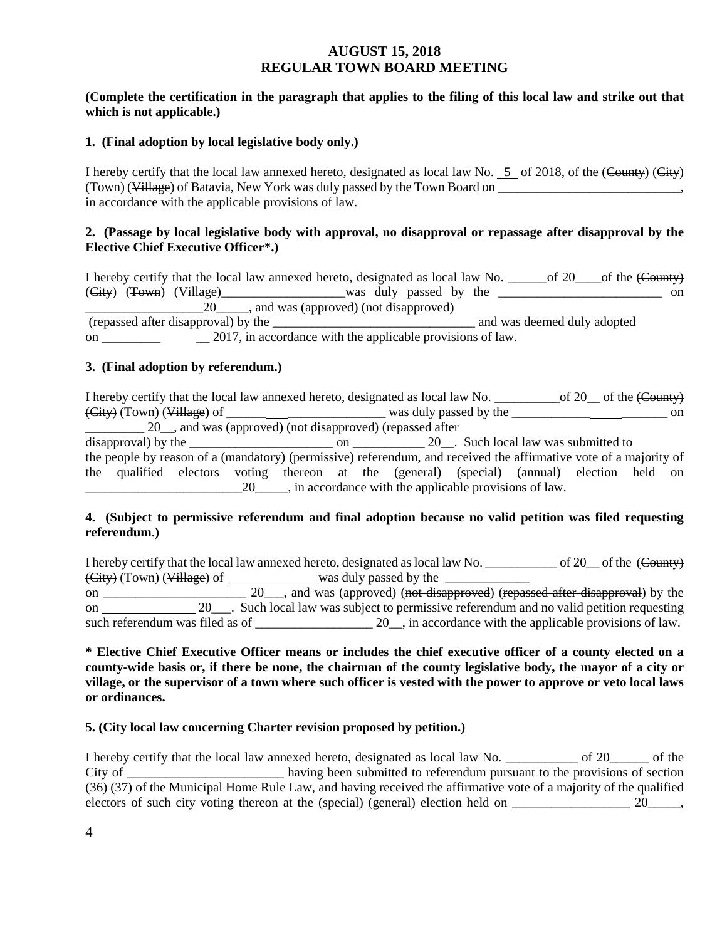### **(Complete the certification in the paragraph that applies to the filing of this local law and strike out that which is not applicable.)**

#### **1. (Final adoption by local legislative body only.)**

I hereby certify that the local law annexed hereto, designated as local law No.  $5$  of 2018, of the (County) (City) (Town) (Village) of Batavia, New York was duly passed by the Town Board on in accordance with the applicable provisions of law.

### **2. (Passage by local legislative body with approval, no disapproval or repassage after disapproval by the Elective Chief Executive Officer\*.)**

I hereby certify that the local law annexed hereto, designated as local law No. \_\_\_\_\_\_of 20\_\_\_\_of the (County)  $(\text{City})$   $(\text{Tour})$   $(\text{Village})$   $(\text{Village})$   $(\text{ထ}$   $\text{was}$  duly passed by the  $\text{1}$  $\overline{20}$ , and was (approved) (not disapproved) (repassed after disapproval) by the \_\_\_\_\_\_\_\_\_\_\_\_\_\_\_\_\_\_\_\_\_\_\_\_\_\_\_\_\_\_\_ and was deemed duly adopted on \_\_\_\_\_\_\_\_ 2017, in accordance with the applicable provisions of law.

#### **3. (Final adoption by referendum.)**

I hereby certify that the local law annexed hereto, designated as local law No. \_\_\_\_\_\_\_\_\_\_\_\_of 20\_\_ of the (County)  $(\text{City})$  (Town) (Village) of was duly passed by the  $\blacksquare$  $\frac{20}{\sqrt{100}}$ , and was (approved) (not disapproved) (repassed after disapproval) by the  $\frac{1}{20}$  on  $\frac{20}{20}$ . Such local law was submitted to the people by reason of a (mandatory) (permissive) referendum, and received the affirmative vote of a majority of the qualified electors voting thereon at the (general) (special) (annual) election held on 20  $\ldots$ , in accordance with the applicable provisions of law.

#### **4. (Subject to permissive referendum and final adoption because no valid petition was filed requesting referendum.)**

I hereby certify that the local law annexed hereto, designated as local law No.  $\qquad \qquad$  of 20  $\qquad$  of the (County)  $(\text{City})$  (Town) (Village) of was duly passed by the was duly passed by the was duly passed by the was duly passed by the was duly passed by the was duly passed by the was duly passed by the was duly passed by the was duly on \_\_\_\_\_\_\_\_\_\_\_\_\_\_\_\_\_\_\_\_\_\_\_\_\_ 20\_\_\_, and was (approved) (not disapproved) (repassed after disapproval) by the on 20\_\_\_. Such local law was subject to permissive referendum and no valid petition requesting such referendum was filed as of  $20 \text{ m}$ , in accordance with the applicable provisions of law.

**\* Elective Chief Executive Officer means or includes the chief executive officer of a county elected on a county-wide basis or, if there be none, the chairman of the county legislative body, the mayor of a city or village, or the supervisor of a town where such officer is vested with the power to approve or veto local laws or ordinances.**

### **5. (City local law concerning Charter revision proposed by petition.)**

I hereby certify that the local law annexed hereto, designated as local law No. \_\_\_\_\_\_\_\_\_\_\_ of 20\_\_\_\_\_\_ of the City of \_\_\_\_\_\_\_\_\_\_\_\_\_\_\_\_\_\_\_\_\_\_\_\_ having been submitted to referendum pursuant to the provisions of section (36) (37) of the Municipal Home Rule Law, and having received the affirmative vote of a majority of the qualified electors of such city voting thereon at the (special) (general) election held on  $\frac{20}{\sqrt{25}}$ ,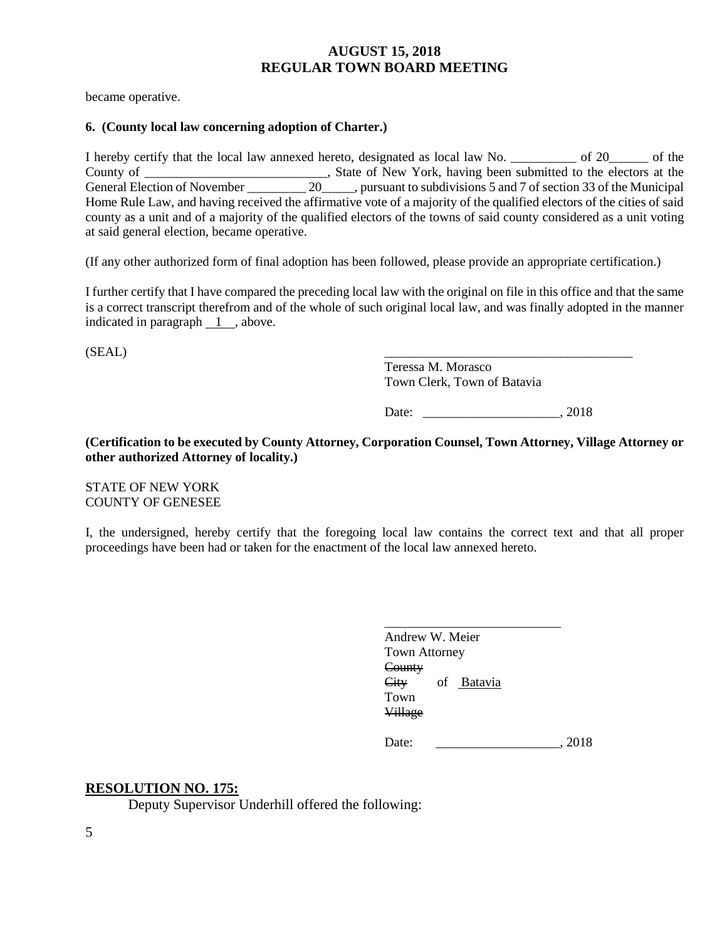became operative.

#### **6. (County local law concerning adoption of Charter.)**

I hereby certify that the local law annexed hereto, designated as local law No. \_\_\_\_\_\_\_\_\_\_ of 20\_\_\_\_\_\_ of the County of \_\_\_\_\_\_\_\_\_\_\_\_\_\_\_\_\_\_\_\_\_\_\_\_\_, State of New York, having been submitted to the electors at the General Election of November 20  $\ldots$ , pursuant to subdivisions 5 and 7 of section 33 of the Municipal Home Rule Law, and having received the affirmative vote of a majority of the qualified electors of the cities of said county as a unit and of a majority of the qualified electors of the towns of said county considered as a unit voting at said general election, became operative.

(If any other authorized form of final adoption has been followed, please provide an appropriate certification.)

I further certify that I have compared the preceding local law with the original on file in this office and that the same is a correct transcript therefrom and of the whole of such original local law, and was finally adopted in the manner indicated in paragraph 1 , above.

 $(SEAL)$ 

Teressa M. Morasco Town Clerk, Town of Batavia

Date: 2018

**(Certification to be executed by County Attorney, Corporation Counsel, Town Attorney, Village Attorney or other authorized Attorney of locality.)**

STATE OF NEW YORK COUNTY OF GENESEE

I, the undersigned, hereby certify that the foregoing local law contains the correct text and that all proper proceedings have been had or taken for the enactment of the local law annexed hereto.

|                      | Andrew W. Meier |      |
|----------------------|-----------------|------|
| <b>Town Attorney</b> |                 |      |
| County               |                 |      |
| City                 | of Batavia      |      |
| Town                 |                 |      |
| <b>Village</b>       |                 |      |
|                      |                 |      |
| Date:                |                 | 2018 |

### **RESOLUTION NO. 175:**

Deputy Supervisor Underhill offered the following: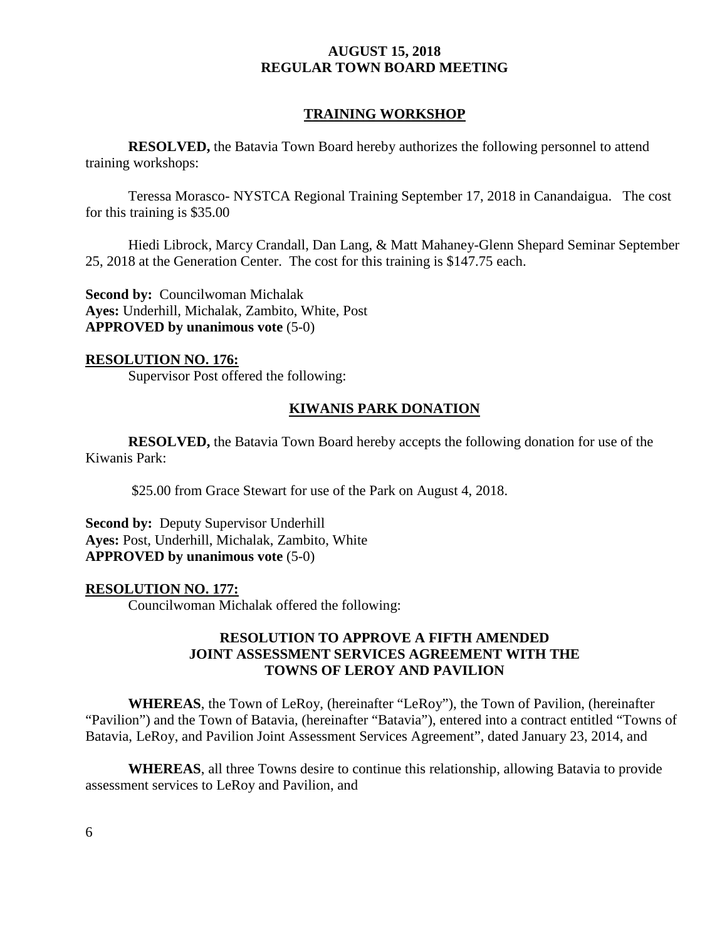## **TRAINING WORKSHOP**

**RESOLVED,** the Batavia Town Board hereby authorizes the following personnel to attend training workshops:

Teressa Morasco- NYSTCA Regional Training September 17, 2018 in Canandaigua. The cost for this training is \$35.00

Hiedi Librock, Marcy Crandall, Dan Lang, & Matt Mahaney-Glenn Shepard Seminar September 25, 2018 at the Generation Center. The cost for this training is \$147.75 each.

**Second by: Councilwoman Michalak Ayes:** Underhill, Michalak, Zambito, White, Post **APPROVED by unanimous vote** (5-0)

## **RESOLUTION NO. 176:**

Supervisor Post offered the following:

# **KIWANIS PARK DONATION**

**RESOLVED,** the Batavia Town Board hereby accepts the following donation for use of the Kiwanis Park:

\$25.00 from Grace Stewart for use of the Park on August 4, 2018.

**Second by: Deputy Supervisor Underhill Ayes:** Post, Underhill, Michalak, Zambito, White **APPROVED by unanimous vote** (5-0)

### **RESOLUTION NO. 177:**

Councilwoman Michalak offered the following:

## **RESOLUTION TO APPROVE A FIFTH AMENDED JOINT ASSESSMENT SERVICES AGREEMENT WITH THE TOWNS OF LEROY AND PAVILION**

**WHEREAS**, the Town of LeRoy, (hereinafter "LeRoy"), the Town of Pavilion, (hereinafter "Pavilion") and the Town of Batavia, (hereinafter "Batavia"), entered into a contract entitled "Towns of Batavia, LeRoy, and Pavilion Joint Assessment Services Agreement", dated January 23, 2014, and

**WHEREAS**, all three Towns desire to continue this relationship, allowing Batavia to provide assessment services to LeRoy and Pavilion, and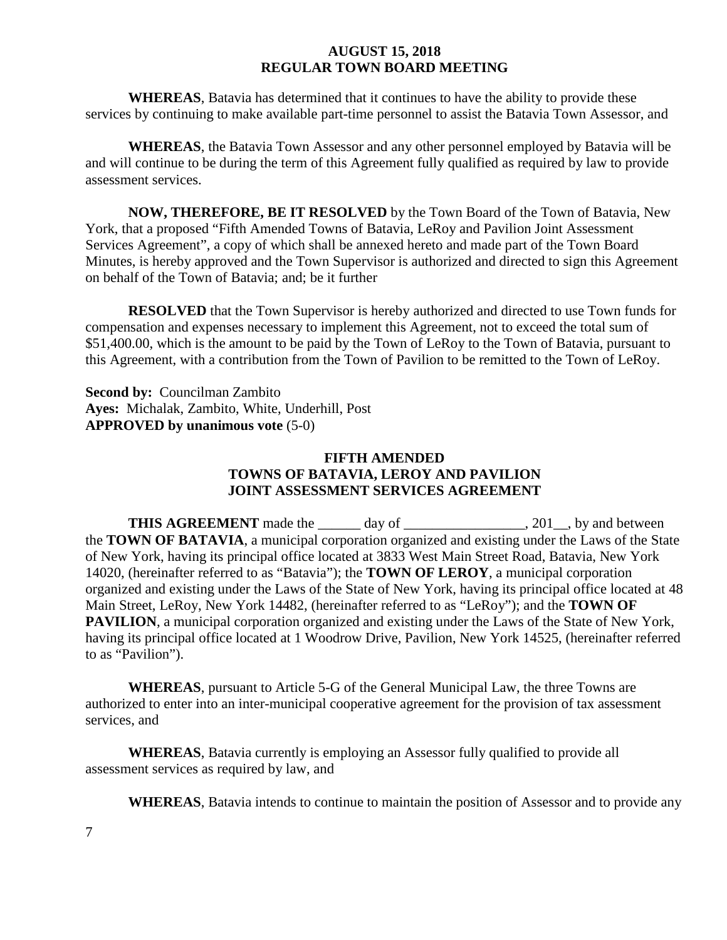**WHEREAS**, Batavia has determined that it continues to have the ability to provide these services by continuing to make available part-time personnel to assist the Batavia Town Assessor, and

**WHEREAS**, the Batavia Town Assessor and any other personnel employed by Batavia will be and will continue to be during the term of this Agreement fully qualified as required by law to provide assessment services.

**NOW, THEREFORE, BE IT RESOLVED** by the Town Board of the Town of Batavia, New York, that a proposed "Fifth Amended Towns of Batavia, LeRoy and Pavilion Joint Assessment Services Agreement", a copy of which shall be annexed hereto and made part of the Town Board Minutes, is hereby approved and the Town Supervisor is authorized and directed to sign this Agreement on behalf of the Town of Batavia; and; be it further

**RESOLVED** that the Town Supervisor is hereby authorized and directed to use Town funds for compensation and expenses necessary to implement this Agreement, not to exceed the total sum of \$51,400.00, which is the amount to be paid by the Town of LeRoy to the Town of Batavia, pursuant to this Agreement, with a contribution from the Town of Pavilion to be remitted to the Town of LeRoy.

**Second by:** Councilman Zambito **Ayes:** Michalak, Zambito, White, Underhill, Post **APPROVED by unanimous vote** (5-0)

## **FIFTH AMENDED TOWNS OF BATAVIA, LEROY AND PAVILION JOINT ASSESSMENT SERVICES AGREEMENT**

**THIS AGREEMENT** made the day of . 201 , by and between the **TOWN OF BATAVIA**, a municipal corporation organized and existing under the Laws of the State of New York, having its principal office located at 3833 West Main Street Road, Batavia, New York 14020, (hereinafter referred to as "Batavia"); the **TOWN OF LEROY**, a municipal corporation organized and existing under the Laws of the State of New York, having its principal office located at 48 Main Street, LeRoy, New York 14482, (hereinafter referred to as "LeRoy"); and the **TOWN OF PAVILION**, a municipal corporation organized and existing under the Laws of the State of New York, having its principal office located at 1 Woodrow Drive, Pavilion, New York 14525, (hereinafter referred to as "Pavilion").

**WHEREAS**, pursuant to Article 5-G of the General Municipal Law, the three Towns are authorized to enter into an inter-municipal cooperative agreement for the provision of tax assessment services, and

**WHEREAS**, Batavia currently is employing an Assessor fully qualified to provide all assessment services as required by law, and

**WHEREAS**, Batavia intends to continue to maintain the position of Assessor and to provide any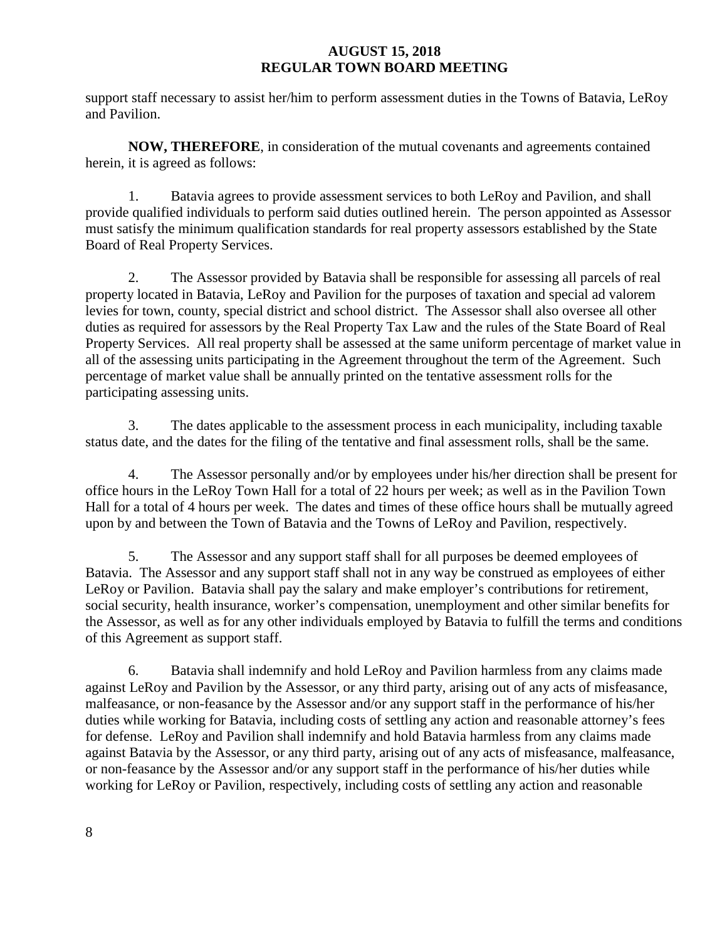support staff necessary to assist her/him to perform assessment duties in the Towns of Batavia, LeRoy and Pavilion.

**NOW, THEREFORE**, in consideration of the mutual covenants and agreements contained herein, it is agreed as follows:

1. Batavia agrees to provide assessment services to both LeRoy and Pavilion, and shall provide qualified individuals to perform said duties outlined herein. The person appointed as Assessor must satisfy the minimum qualification standards for real property assessors established by the State Board of Real Property Services.

2. The Assessor provided by Batavia shall be responsible for assessing all parcels of real property located in Batavia, LeRoy and Pavilion for the purposes of taxation and special ad valorem levies for town, county, special district and school district. The Assessor shall also oversee all other duties as required for assessors by the Real Property Tax Law and the rules of the State Board of Real Property Services. All real property shall be assessed at the same uniform percentage of market value in all of the assessing units participating in the Agreement throughout the term of the Agreement. Such percentage of market value shall be annually printed on the tentative assessment rolls for the participating assessing units.

3. The dates applicable to the assessment process in each municipality, including taxable status date, and the dates for the filing of the tentative and final assessment rolls, shall be the same.

4. The Assessor personally and/or by employees under his/her direction shall be present for office hours in the LeRoy Town Hall for a total of 22 hours per week; as well as in the Pavilion Town Hall for a total of 4 hours per week. The dates and times of these office hours shall be mutually agreed upon by and between the Town of Batavia and the Towns of LeRoy and Pavilion, respectively.

5. The Assessor and any support staff shall for all purposes be deemed employees of Batavia. The Assessor and any support staff shall not in any way be construed as employees of either LeRoy or Pavilion. Batavia shall pay the salary and make employer's contributions for retirement, social security, health insurance, worker's compensation, unemployment and other similar benefits for the Assessor, as well as for any other individuals employed by Batavia to fulfill the terms and conditions of this Agreement as support staff.

6. Batavia shall indemnify and hold LeRoy and Pavilion harmless from any claims made against LeRoy and Pavilion by the Assessor, or any third party, arising out of any acts of misfeasance, malfeasance, or non-feasance by the Assessor and/or any support staff in the performance of his/her duties while working for Batavia, including costs of settling any action and reasonable attorney's fees for defense. LeRoy and Pavilion shall indemnify and hold Batavia harmless from any claims made against Batavia by the Assessor, or any third party, arising out of any acts of misfeasance, malfeasance, or non-feasance by the Assessor and/or any support staff in the performance of his/her duties while working for LeRoy or Pavilion, respectively, including costs of settling any action and reasonable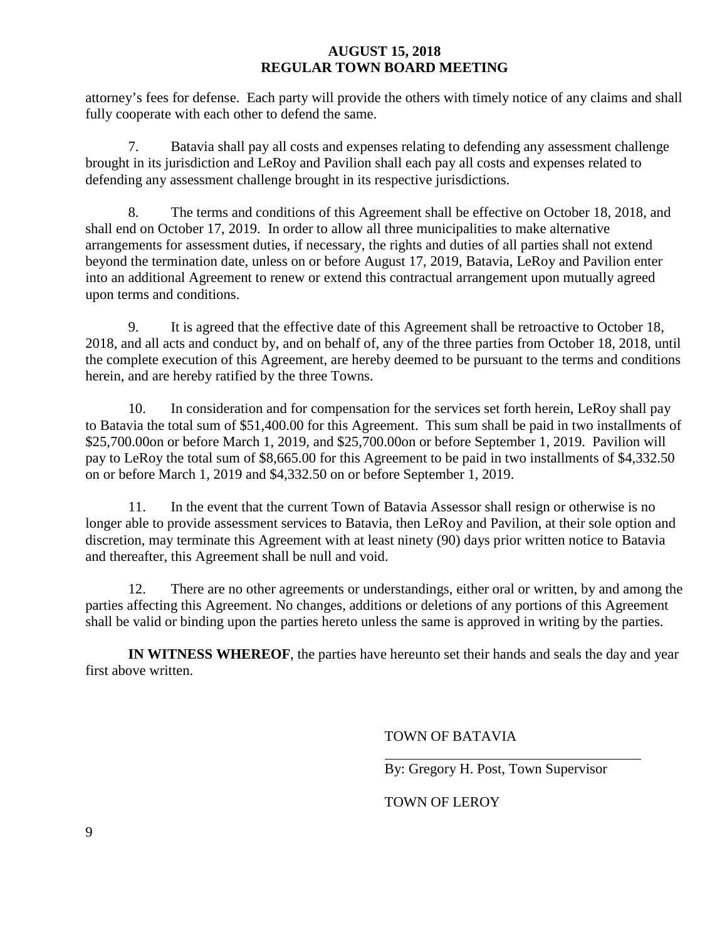attorney's fees for defense. Each party will provide the others with timely notice of any claims and shall fully cooperate with each other to defend the same.

7. Batavia shall pay all costs and expenses relating to defending any assessment challenge brought in its jurisdiction and LeRoy and Pavilion shall each pay all costs and expenses related to defending any assessment challenge brought in its respective jurisdictions.

8. The terms and conditions of this Agreement shall be effective on October 18, 2018, and shall end on October 17, 2019. In order to allow all three municipalities to make alternative arrangements for assessment duties, if necessary, the rights and duties of all parties shall not extend beyond the termination date, unless on or before August 17, 2019, Batavia, LeRoy and Pavilion enter into an additional Agreement to renew or extend this contractual arrangement upon mutually agreed upon terms and conditions.

9. It is agreed that the effective date of this Agreement shall be retroactive to October 18, 2018, and all acts and conduct by, and on behalf of, any of the three parties from October 18, 2018, until the complete execution of this Agreement, are hereby deemed to be pursuant to the terms and conditions herein, and are hereby ratified by the three Towns.

10. In consideration and for compensation for the services set forth herein, LeRoy shall pay to Batavia the total sum of \$51,400.00 for this Agreement. This sum shall be paid in two installments of \$25,700.00on or before March 1, 2019, and \$25,700.00on or before September 1, 2019. Pavilion will pay to LeRoy the total sum of \$8,665.00 for this Agreement to be paid in two installments of \$4,332.50 on or before March 1, 2019 and \$4,332.50 on or before September 1, 2019.

11. In the event that the current Town of Batavia Assessor shall resign or otherwise is no longer able to provide assessment services to Batavia, then LeRoy and Pavilion, at their sole option and discretion, may terminate this Agreement with at least ninety (90) days prior written notice to Batavia and thereafter, this Agreement shall be null and void.

12. There are no other agreements or understandings, either oral or written, by and among the parties affecting this Agreement. No changes, additions or deletions of any portions of this Agreement shall be valid or binding upon the parties hereto unless the same is approved in writing by the parties.

**IN WITNESS WHEREOF**, the parties have hereunto set their hands and seals the day and year first above written.

# TOWN OF BATAVIA

By: Gregory H. Post, Town Supervisor

# TOWN OF LEROY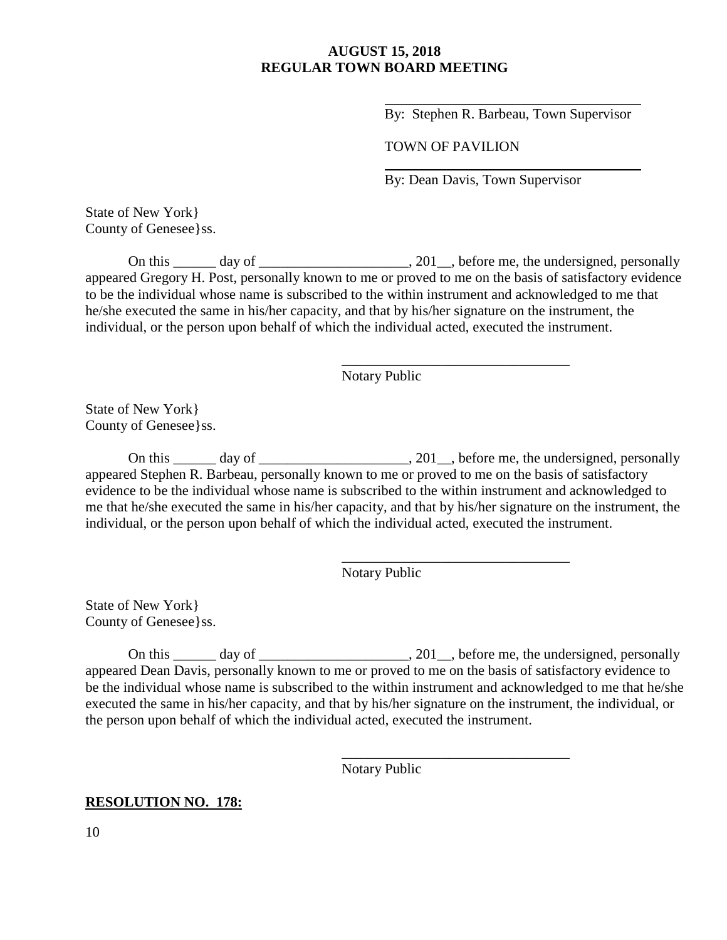By: Stephen R. Barbeau, Town Supervisor

### TOWN OF PAVILION

\_\_\_\_\_\_\_\_\_\_\_\_\_\_\_\_\_\_\_\_\_\_\_\_\_\_\_\_\_\_\_\_

\_\_\_\_\_\_\_\_\_\_\_\_\_\_\_\_\_\_\_\_\_\_\_\_\_\_\_\_\_\_\_\_

\_\_\_\_\_\_\_\_\_\_\_\_\_\_\_\_\_\_\_\_\_\_\_\_\_\_\_\_\_\_\_\_

By: Dean Davis, Town Supervisor

State of New York} County of Genesee}ss.

On this  $\frac{1}{\sqrt{2}}$  day of  $\frac{1}{\sqrt{2}}$  and  $\frac{1}{\sqrt{2}}$ , before me, the undersigned, personally appeared Gregory H. Post, personally known to me or proved to me on the basis of satisfactory evidence to be the individual whose name is subscribed to the within instrument and acknowledged to me that he/she executed the same in his/her capacity, and that by his/her signature on the instrument, the individual, or the person upon behalf of which the individual acted, executed the instrument.

Notary Public

State of New York} County of Genesee}ss.

On this  $\frac{1}{\sqrt{2}}$  day of  $\frac{1}{\sqrt{2}}$  day of  $\frac{1}{\sqrt{2}}$ , before me, the undersigned, personally appeared Stephen R. Barbeau, personally known to me or proved to me on the basis of satisfactory evidence to be the individual whose name is subscribed to the within instrument and acknowledged to me that he/she executed the same in his/her capacity, and that by his/her signature on the instrument, the individual, or the person upon behalf of which the individual acted, executed the instrument.

Notary Public

State of New York} County of Genesee}ss.

On this  $\frac{1}{\sqrt{2}}$  day of  $\frac{1}{\sqrt{2}}$  day of  $\frac{1}{\sqrt{2}}$ , before me, the undersigned, personally appeared Dean Davis, personally known to me or proved to me on the basis of satisfactory evidence to be the individual whose name is subscribed to the within instrument and acknowledged to me that he/she executed the same in his/her capacity, and that by his/her signature on the instrument, the individual, or the person upon behalf of which the individual acted, executed the instrument.

Notary Public

### **RESOLUTION NO. 178:**

10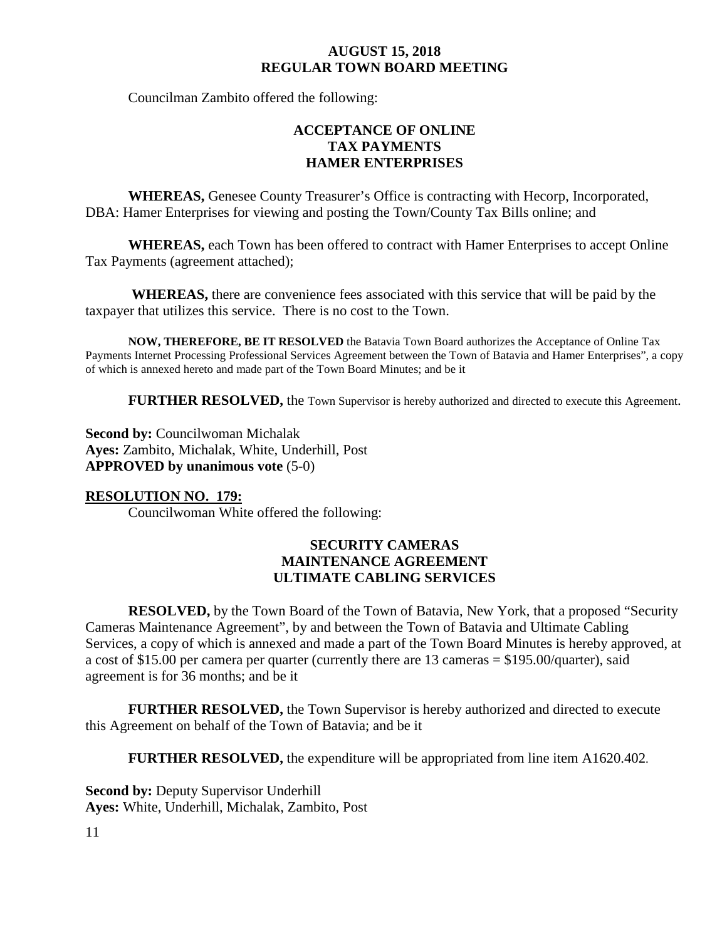Councilman Zambito offered the following:

# **ACCEPTANCE OF ONLINE TAX PAYMENTS HAMER ENTERPRISES**

**WHEREAS,** Genesee County Treasurer's Office is contracting with Hecorp, Incorporated, DBA: Hamer Enterprises for viewing and posting the Town/County Tax Bills online; and

**WHEREAS,** each Town has been offered to contract with Hamer Enterprises to accept Online Tax Payments (agreement attached);

**WHEREAS,** there are convenience fees associated with this service that will be paid by the taxpayer that utilizes this service. There is no cost to the Town.

**NOW, THEREFORE, BE IT RESOLVED** the Batavia Town Board authorizes the Acceptance of Online Tax Payments Internet Processing Professional Services Agreement between the Town of Batavia and Hamer Enterprises", a copy of which is annexed hereto and made part of the Town Board Minutes; and be it

**FURTHER RESOLVED, the Town Supervisor is hereby authorized and directed to execute this Agreement.** 

**Second by: Councilwoman Michalak Ayes:** Zambito, Michalak, White, Underhill, Post **APPROVED by unanimous vote** (5-0)

## **RESOLUTION NO. 179:**

Councilwoman White offered the following:

## **SECURITY CAMERAS MAINTENANCE AGREEMENT ULTIMATE CABLING SERVICES**

**RESOLVED,** by the Town Board of the Town of Batavia, New York, that a proposed "Security Cameras Maintenance Agreement", by and between the Town of Batavia and Ultimate Cabling Services, a copy of which is annexed and made a part of the Town Board Minutes is hereby approved, at a cost of \$15.00 per camera per quarter (currently there are 13 cameras = \$195.00/quarter), said agreement is for 36 months; and be it

**FURTHER RESOLVED,** the Town Supervisor is hereby authorized and directed to execute this Agreement on behalf of the Town of Batavia; and be it

**FURTHER RESOLVED,** the expenditure will be appropriated from line item A1620.402.

**Second by: Deputy Supervisor Underhill Ayes:** White, Underhill, Michalak, Zambito, Post

11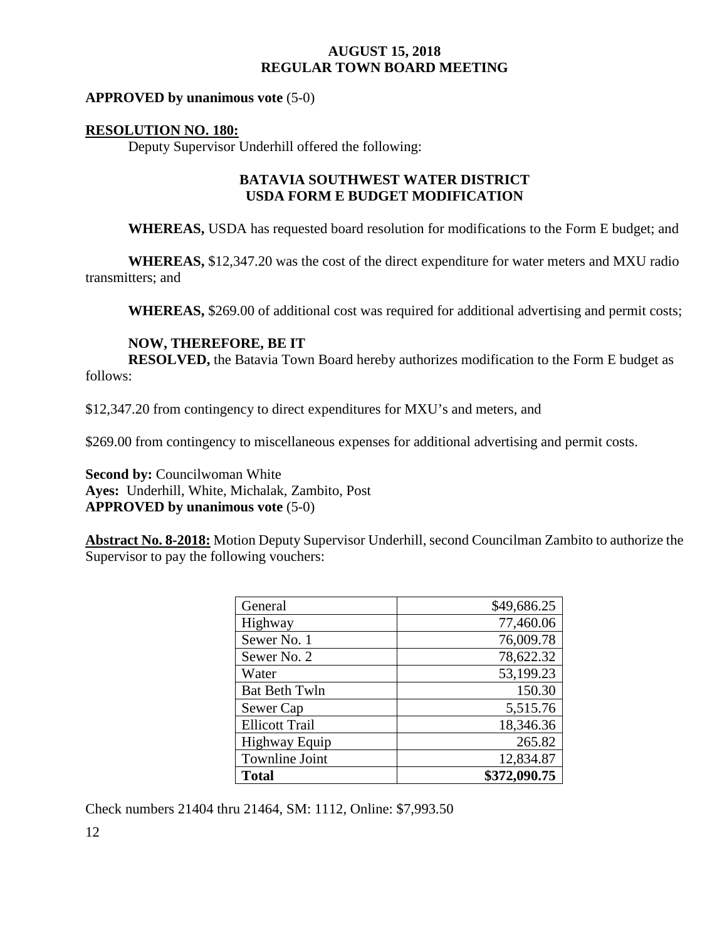### **APPROVED by unanimous vote** (5-0)

### **RESOLUTION NO. 180:**

Deputy Supervisor Underhill offered the following:

## **BATAVIA SOUTHWEST WATER DISTRICT USDA FORM E BUDGET MODIFICATION**

**WHEREAS,** USDA has requested board resolution for modifications to the Form E budget; and

**WHEREAS,** \$12,347.20 was the cost of the direct expenditure for water meters and MXU radio transmitters; and

**WHEREAS,** \$269.00 of additional cost was required for additional advertising and permit costs;

### **NOW, THEREFORE, BE IT**

**RESOLVED,** the Batavia Town Board hereby authorizes modification to the Form E budget as follows:

\$12,347.20 from contingency to direct expenditures for MXU's and meters, and

\$269.00 from contingency to miscellaneous expenses for additional advertising and permit costs.

**Second by:** Councilwoman White **Ayes:** Underhill, White, Michalak, Zambito, Post **APPROVED by unanimous vote** (5-0)

**Abstract No. 8-2018:** Motion Deputy Supervisor Underhill, second Councilman Zambito to authorize the Supervisor to pay the following vouchers:

| General               | \$49,686.25  |
|-----------------------|--------------|
| Highway               | 77,460.06    |
| Sewer No. 1           | 76,009.78    |
| Sewer No. 2           | 78,622.32    |
| Water                 | 53,199.23    |
| <b>Bat Beth Twln</b>  | 150.30       |
| Sewer Cap             | 5,515.76     |
| <b>Ellicott Trail</b> | 18,346.36    |
| <b>Highway Equip</b>  | 265.82       |
| <b>Townline Joint</b> | 12,834.87    |
| <b>Total</b>          | \$372,090.75 |

Check numbers 21404 thru 21464, SM: 1112, Online: \$7,993.50